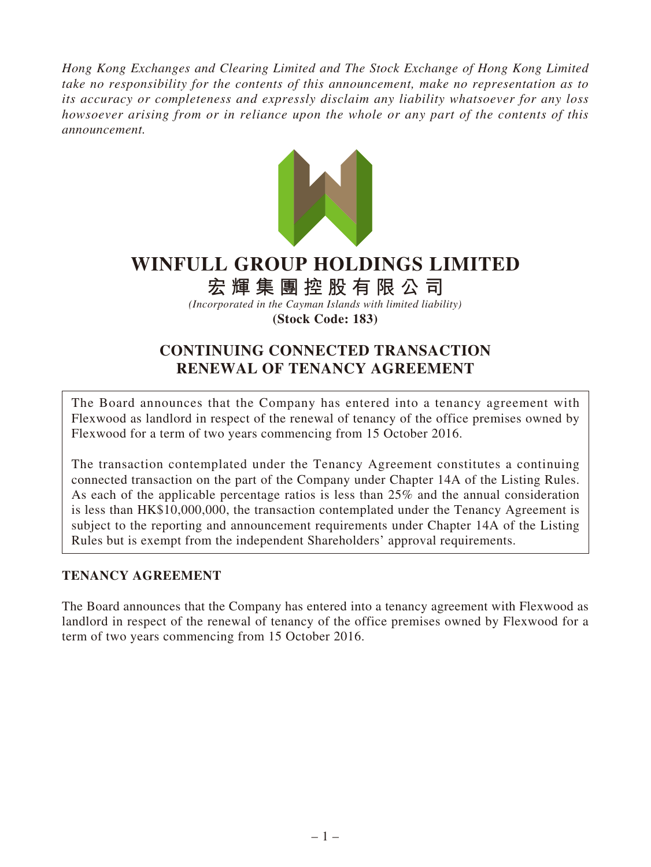*Hong Kong Exchanges and Clearing Limited and The Stock Exchange of Hong Kong Limited take no responsibility for the contents of this announcement, make no representation as to its accuracy or completeness and expressly disclaim any liability whatsoever for any loss howsoever arising from or in reliance upon the whole or any part of the contents of this announcement.*



# **WINFULL GROUP HOLDINGS LIMITED**

## **宏輝集團控股有限公司**

*(Incorporated in the Cayman Islands with limited liability)* **(Stock Code: 183)**

## **CONTINUING CONNECTED TRANSACTION RENEWAL OF TENANCY AGREEMENT**

The Board announces that the Company has entered into a tenancy agreement with Flexwood as landlord in respect of the renewal of tenancy of the office premises owned by Flexwood for a term of two years commencing from 15 October 2016.

The transaction contemplated under the Tenancy Agreement constitutes a continuing connected transaction on the part of the Company under Chapter 14A of the Listing Rules. As each of the applicable percentage ratios is less than 25% and the annual consideration is less than HK\$10,000,000, the transaction contemplated under the Tenancy Agreement is subject to the reporting and announcement requirements under Chapter 14A of the Listing Rules but is exempt from the independent Shareholders' approval requirements.

## **TENANCY AGREEMENT**

The Board announces that the Company has entered into a tenancy agreement with Flexwood as landlord in respect of the renewal of tenancy of the office premises owned by Flexwood for a term of two years commencing from 15 October 2016.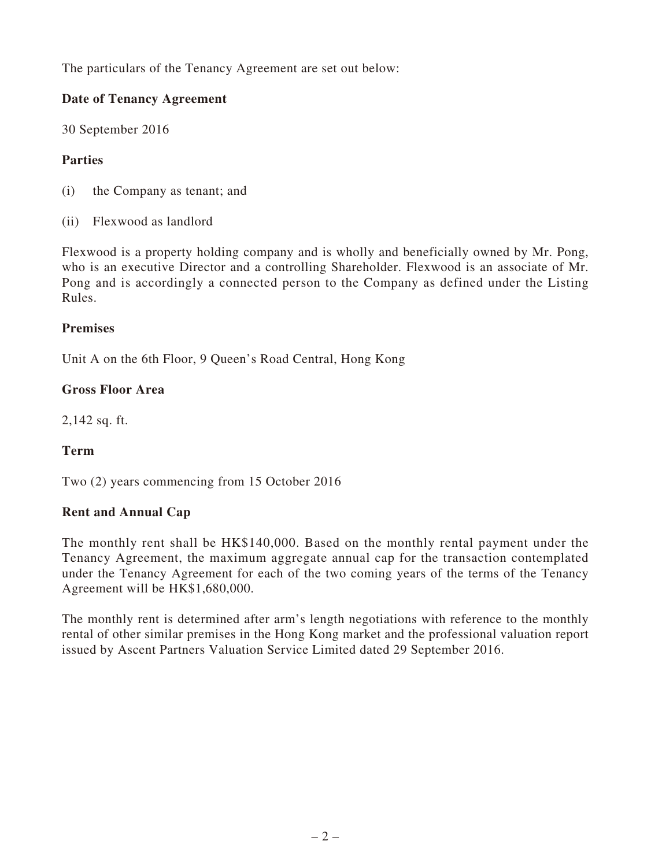The particulars of the Tenancy Agreement are set out below:

## **Date of Tenancy Agreement**

30 September 2016

## **Parties**

- (i) the Company as tenant; and
- (ii) Flexwood as landlord

Flexwood is a property holding company and is wholly and beneficially owned by Mr. Pong, who is an executive Director and a controlling Shareholder. Flexwood is an associate of Mr. Pong and is accordingly a connected person to the Company as defined under the Listing Rules.

#### **Premises**

Unit A on the 6th Floor, 9 Queen's Road Central, Hong Kong

#### **Gross Floor Area**

2,142 sq. ft.

## **Term**

Two (2) years commencing from 15 October 2016

#### **Rent and Annual Cap**

The monthly rent shall be HK\$140,000. Based on the monthly rental payment under the Tenancy Agreement, the maximum aggregate annual cap for the transaction contemplated under the Tenancy Agreement for each of the two coming years of the terms of the Tenancy Agreement will be HK\$1,680,000.

The monthly rent is determined after arm's length negotiations with reference to the monthly rental of other similar premises in the Hong Kong market and the professional valuation report issued by Ascent Partners Valuation Service Limited dated 29 September 2016.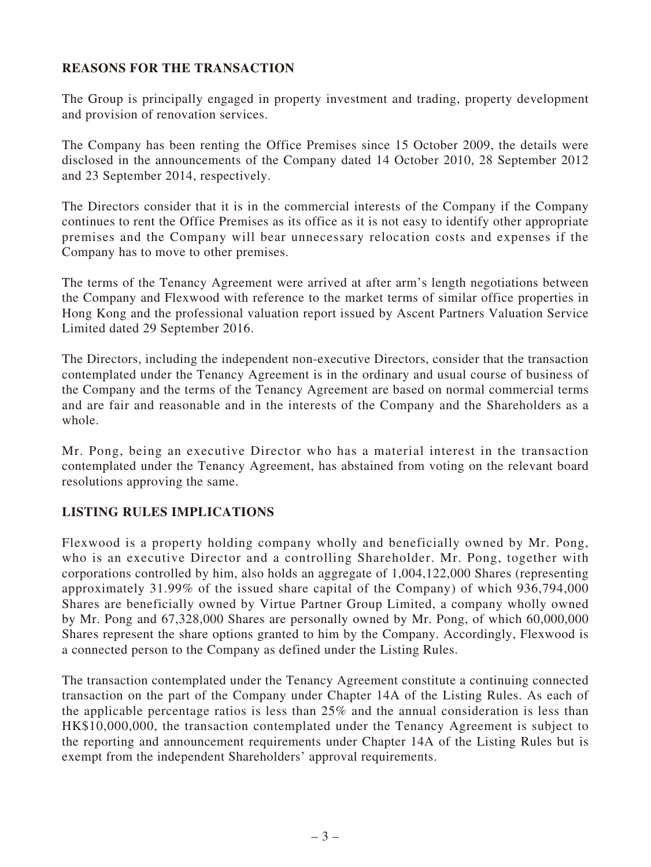#### **REASONS FOR THE TRANSACTION**

The Group is principally engaged in property investment and trading, property development and provision of renovation services.

The Company has been renting the Office Premises since 15 October 2009, the details were disclosed in the announcements of the Company dated 14 October 2010, 28 September 2012 and 23 September 2014, respectively.

The Directors consider that it is in the commercial interests of the Company if the Company continues to rent the Office Premises as its office as it is not easy to identify other appropriate premises and the Company will bear unnecessary relocation costs and expenses if the Company has to move to other premises.

The terms of the Tenancy Agreement were arrived at after arm's length negotiations between the Company and Flexwood with reference to the market terms of similar office properties in Hong Kong and the professional valuation report issued by Ascent Partners Valuation Service Limited dated 29 September 2016.

The Directors, including the independent non-executive Directors, consider that the transaction contemplated under the Tenancy Agreement is in the ordinary and usual course of business of the Company and the terms of the Tenancy Agreement are based on normal commercial terms and are fair and reasonable and in the interests of the Company and the Shareholders as a whole.

Mr. Pong, being an executive Director who has a material interest in the transaction contemplated under the Tenancy Agreement, has abstained from voting on the relevant board resolutions approving the same.

#### **LISTING RULES IMPLICATIONS**

Flexwood is a property holding company wholly and beneficially owned by Mr. Pong, who is an executive Director and a controlling Shareholder. Mr. Pong, together with corporations controlled by him, also holds an aggregate of 1,004,122,000 Shares (representing approximately 31.99% of the issued share capital of the Company) of which 936,794,000 Shares are beneficially owned by Virtue Partner Group Limited, a company wholly owned by Mr. Pong and 67,328,000 Shares are personally owned by Mr. Pong, of which 60,000,000 Shares represent the share options granted to him by the Company. Accordingly, Flexwood is a connected person to the Company as defined under the Listing Rules.

The transaction contemplated under the Tenancy Agreement constitute a continuing connected transaction on the part of the Company under Chapter 14A of the Listing Rules. As each of the applicable percentage ratios is less than 25% and the annual consideration is less than HK\$10,000,000, the transaction contemplated under the Tenancy Agreement is subject to the reporting and announcement requirements under Chapter 14A of the Listing Rules but is exempt from the independent Shareholders' approval requirements.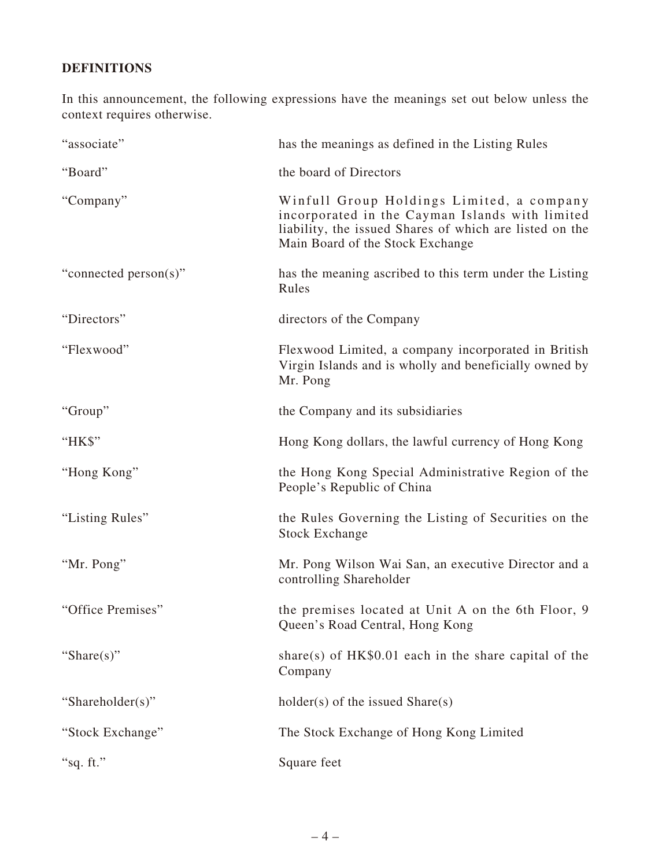## **DEFINITIONS**

In this announcement, the following expressions have the meanings set out below unless the context requires otherwise.

| "associate"           | has the meanings as defined in the Listing Rules                                                                                                                                            |
|-----------------------|---------------------------------------------------------------------------------------------------------------------------------------------------------------------------------------------|
| "Board"               | the board of Directors                                                                                                                                                                      |
| "Company"             | Winfull Group Holdings Limited, a company<br>incorporated in the Cayman Islands with limited<br>liability, the issued Shares of which are listed on the<br>Main Board of the Stock Exchange |
| "connected person(s)" | has the meaning ascribed to this term under the Listing<br>Rules                                                                                                                            |
| "Directors"           | directors of the Company                                                                                                                                                                    |
| "Flexwood"            | Flexwood Limited, a company incorporated in British<br>Virgin Islands and is wholly and beneficially owned by<br>Mr. Pong                                                                   |
| "Group"               | the Company and its subsidiaries                                                                                                                                                            |
| "HK\$"                | Hong Kong dollars, the lawful currency of Hong Kong                                                                                                                                         |
| "Hong Kong"           | the Hong Kong Special Administrative Region of the<br>People's Republic of China                                                                                                            |
| "Listing Rules"       | the Rules Governing the Listing of Securities on the<br><b>Stock Exchange</b>                                                                                                               |
| "Mr. Pong"            | Mr. Pong Wilson Wai San, an executive Director and a<br>controlling Shareholder                                                                                                             |
| "Office Premises"     | the premises located at Unit A on the 6th Floor, 9<br>Queen's Road Central, Hong Kong                                                                                                       |
| "Share $(s)$ "        | share(s) of $HK$0.01$ each in the share capital of the<br>Company                                                                                                                           |
| "Shareholder(s)"      | $holder(s)$ of the issued Share $(s)$                                                                                                                                                       |
| "Stock Exchange"      | The Stock Exchange of Hong Kong Limited                                                                                                                                                     |
| "sq. ft."             | Square feet                                                                                                                                                                                 |